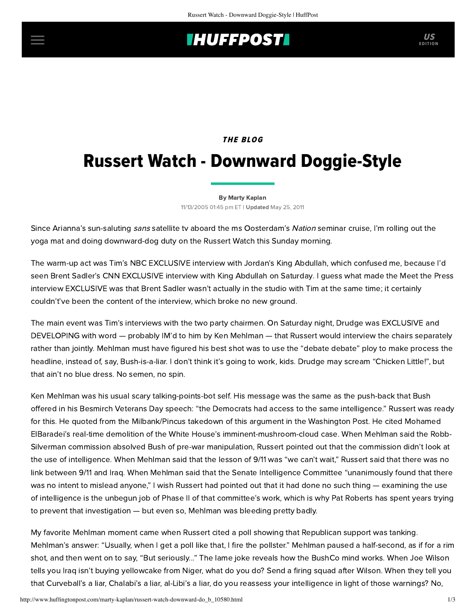## **IHUFFPOSTI** US

## **THE BLOG**

# Russert Watch - Downward Doggie-Style

#### [By Marty Kaplan](http://www.huffingtonpost.com/author/marty-kaplan)

11/13/2005 01:45 pm ET | Updated May 25, 2011

Since Arianna's sun-saluting sans satellite tv aboard the ms Oosterdam's Nation seminar [cruise](http://nationcruise.com/index.html), I'm rolling out the yoga mat and doing [downward-dog duty](http://www.huffingtonpost.com/arianna-huffington/tim-russert-ties-me-up-in_b_1395.html) on the Russert Watch this Sunday morning.

The warm-up act was Tim's NBC EXCLUSIVE interview with Jordan's King Abdullah, which confused me, because I'd seen Brent Sadler's CNN EXCLUSIVE interview with King Abdullah on Saturday. I guess what made the Meet the Press interview EXCLUSIVE was that Brent Sadler wasn't actually in the studio with Tim at the same time; it certainly couldn't've been the content of the interview, which broke no new ground.

The main event was Tim's interviews with the two party chairmen. On Saturday night, Drudge was EXCLUSIVE and DEVELOPING with word — probably IM'd to him by Ken Mehlman — that Russert would interview the chairs separately rather than jointly. Mehlman must have figured his best shot was to use the "debate debate" ploy to make process the headline, instead of, say, Bush-is-a-liar. I don't think it's going to work, kids. Drudge may scream "Chicken Little!", but that ain't no blue dress. No semen, no spin.

Ken Mehlman was his usual scary talking-points-bot self. His message was the same as the push-back that Bush offered in his Besmirch Veterans Day speech: "the Democrats had access to the same intelligence." Russert was ready for this. He quoted from the [Milbank/Pincus](http://www.washingtonpost.com/wp-dyn/content/article/2005/11/11/AR2005111101832.html) takedown of this argument in the Washington Post. He cited Mohamed ElBaradei's real-time demolition of the White House's imminent-mushroom-cloud case. When Mehlman said the Robb-Silverman commission absolved Bush of pre-war manipulation, Russert pointed out that the commission didn't look at the use of intelligence. When Mehlman said that the lesson of 9/11 was "we can't wait," Russert said that there was no link between 9/11 and Iraq. When Mehlman said that the Senate Intelligence Committee "unanimously found that there was no intent to mislead anyone," I wish Russert had pointed out that it had done no such thing — examining the use of intelligence is the unbegun job of Phase II of that committee's work, which is why Pat Roberts has spent years trying to prevent that investigation — but even so, Mehlman was bleeding pretty badly.

My favorite Mehlman moment came when Russert cited a poll showing that Republican support was tanking. Mehlman's answer: "Usually, when I get a poll like that, I fire the pollster." Mehlman paused a half-second, as if for a rim shot, and then went on to say, "But seriously..." The lame joke reveals how the BushCo mind works. When Joe Wilson tells you Iraq isn't buying yellowcake from Niger, what do you do? Send a firing squad after Wilson. When they tell you that Curveball's a liar, Chalabi's a liar, al-Libi's a liar, do you reassess your intelligence in light of those warnings? No,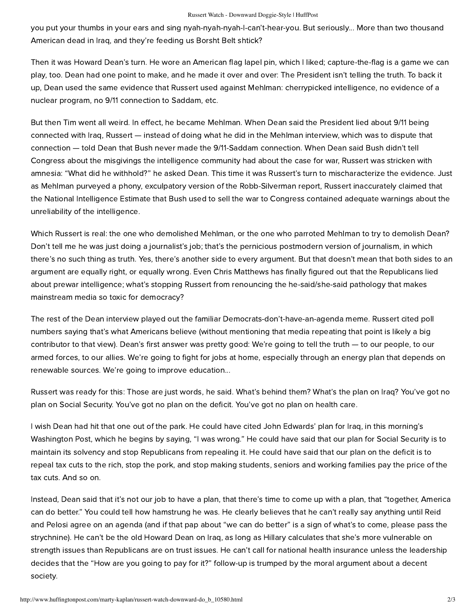you put your thumbs in your ears and sing nyah-nyah-nyah-I-can't-hear-you. But seriously... More than two thousand American dead in Iraq, and they're feeding us Borsht Belt shtick?

Then it was Howard Dean's turn. He wore an American flag lapel pin, which I liked; capture-the-flag is a game we can play, too. Dean had one point to make, and he made it over and over: The President isn't telling the truth. To back it up, Dean used the same evidence that Russert used against Mehlman: cherrypicked intelligence, no evidence of a nuclear program, no 9/11 connection to Saddam, etc.

But then Tim went all weird. In effect, he became Mehlman. When Dean said the President lied about 9/11 being connected with Iraq, Russert — instead of doing what he did in the Mehlman interview, which was to dispute that connection — told Dean that Bush never made the 9/11-Saddam connection. When Dean said Bush didn't tell Congress about the misgivings the intelligence community had about the case for war, Russert was stricken with amnesia: "What did he withhold?" he asked Dean. This time it was Russert's turn to mischaracterize the evidence. Just as Mehlman purveyed a phony, exculpatory version of the Robb-Silverman report, Russert inaccurately claimed that the National Intelligence Estimate that Bush used to sell the war to Congress contained adequate warnings about the unreliability of the intelligence.

Which Russert is real: the one who demolished Mehlman, or the one who parroted Mehlman to try to demolish Dean? Don't tell me he was just doing a journalist's job; that's the pernicious postmodern version of journalism, in which there's no such thing as truth. Yes, there's another side to every argument. But that doesn't mean that both sides to an argument are equally right, or equally wrong. Even Chris Matthews has finally figured out that the Republicans lied about prewar intelligence; what's stopping Russert from renouncing the he-said/she-said pathology that makes mainstream media so toxic for democracy?

The rest of the Dean interview played out the familiar Democrats-don't-have-an-agenda meme. Russert cited poll numbers saying that's what Americans believe (without mentioning that media repeating that point is likely a big contributor to that view). Dean's first answer was pretty good: We're going to tell the truth — to our people, to our armed forces, to our allies. We're going to fight for jobs at home, especially through an energy plan that depends on renewable sources. We're going to improve education...

Russert was ready for this: Those are just words, he said. What's behind them? What's the plan on Iraq? You've got no plan on Social Security. You've got no plan on the deficit. You've got no plan on health care.

I wish Dean had hit that one out of the park. He could have cited John Edwards' plan for Iraq, in this morning's [Washington Post,](http://www.washingtonpost.com/wp-dyn/content/article/2005/11/11/AR2005111101623.html) which he begins by saying, "I was wrong." He could have said that our plan for Social Security is to maintain its solvency and stop Republicans from repealing it. He could have said that our plan on the deficit is to repeal tax cuts to the rich, stop the pork, and stop making students, seniors and working families pay the price of the tax cuts. And so on.

Instead, Dean said that it's not our job to have a plan, that there's time to come up with a plan, that "together, America can do better." You could tell how hamstrung he was. He clearly believes that he can't really say anything until Reid and Pelosi agree on an agenda (and if that pap about "we can do better" is a sign of what's to come, please pass the strychnine). He can't be the old Howard Dean on Iraq, as long as Hillary calculates that she's more vulnerable on strength issues than Republicans are on trust issues. He can't call for national health insurance unless the leadership decides that the "How are you going to pay for it?" follow-up is trumped by the moral argument about a decent society.